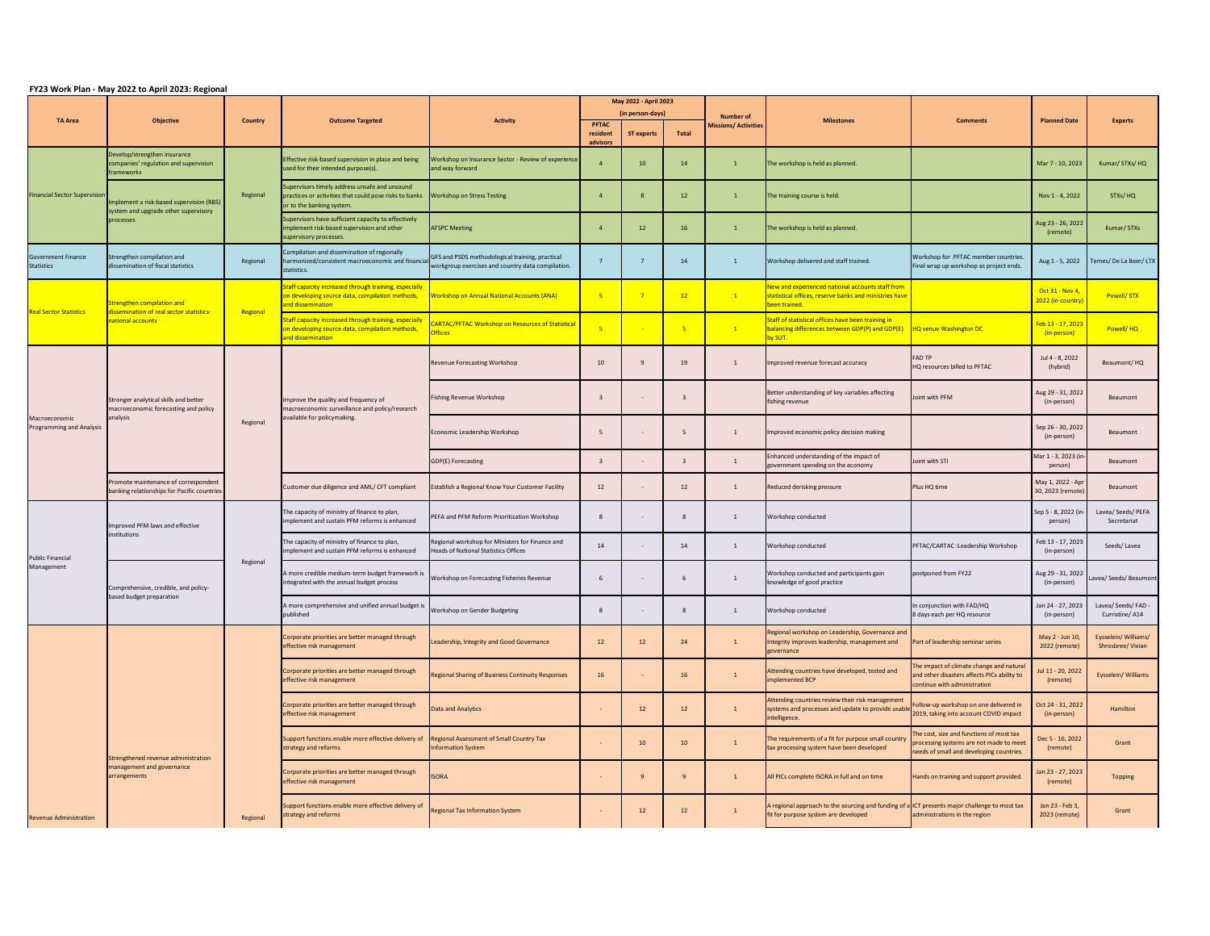## **FY23 Work Plan - May 2022 to April 2023: Regional**

|                                                  |                                                                                               |                |                                                                                                                                      |                                                                                                      | May 2022 - April 2023            |                   |                  |                            |                                                                                                                                       |                                                                                                                                |                                         |                                           |
|--------------------------------------------------|-----------------------------------------------------------------------------------------------|----------------|--------------------------------------------------------------------------------------------------------------------------------------|------------------------------------------------------------------------------------------------------|----------------------------------|-------------------|------------------|----------------------------|---------------------------------------------------------------------------------------------------------------------------------------|--------------------------------------------------------------------------------------------------------------------------------|-----------------------------------------|-------------------------------------------|
| <b>TA Area</b>                                   | <b>Objective</b>                                                                              | <b>Country</b> | <b>Outcome Targeted</b>                                                                                                              | <b>Activity</b>                                                                                      | (in person-days)<br><b>PFTAC</b> |                   | <b>Number of</b> | <b>Milestones</b>          | <b>Comments</b>                                                                                                                       | <b>Planned Date</b>                                                                                                            | <b>Experts</b>                          |                                           |
|                                                  |                                                                                               |                |                                                                                                                                      |                                                                                                      | resident                         | <b>ST experts</b> | Total            | <b>Missions/Activities</b> |                                                                                                                                       |                                                                                                                                |                                         |                                           |
| <b>Financial Sector Supervision</b>              | Develop/strengthen insurance<br>companies' regulation and supervision<br>frameworks           |                | Effective risk-based supervision in place and being<br>used for their intended purpose(s).                                           | Workshop on Insurance Sector - Review of experience<br>and way forward                               | advisors                         | 10                | 14               |                            | The workshop is held as planned.                                                                                                      |                                                                                                                                | Mar 7 - 10, 2023                        | Kumar/ STXs/ HQ                           |
|                                                  | Implement a risk-based supervision (RBS)<br>system and upgrade other supervisory<br>processes | Regional       | Supervisors timely address unsafe and unsound<br>practices or activities that could pose risks to banks<br>or to the banking system. | <b>Workshop on Stress Testing</b>                                                                    |                                  |                   | 12               |                            | The training course is held.                                                                                                          |                                                                                                                                | Nov 1 - 4, 2022                         | STXs/HQ                                   |
|                                                  |                                                                                               |                | Supervisors have sufficient capacity to effectively<br>implement risk-based supervision and other<br>supervisory processes.          | <b>AFSPC Meeting</b>                                                                                 |                                  | 12                | 16               |                            | The workshop is held as planned.                                                                                                      |                                                                                                                                | Aug 23 - 26, 2022<br>(remote)           | Kumar/ STXs                               |
| <b>Government Finance</b><br><b>Statistics</b>   | Strengthen compilation and<br>dissemination of fiscal statistics                              | Regional       | Compilation and dissemination of regionally<br>harmonized/consistent macroeconomic and financia<br>statistics.                       | GFS and PSDS methodological training, practical<br>workgroup exercises and country data compilation. |                                  |                   | 14               |                            | Workshop delivered and staff trained.                                                                                                 | Workshop for PFTAC member countries<br>Final wrap up workshop as project ends.                                                 | Aug 1 - 5, 2022                         | Temes/De La Beer/LTX                      |
| <b>Real Sector Statistics</b>                    | Strengthen compilation and<br>dissemination of real sector statistics<br>national accounts    |                | Staff capacity increased through training, especially<br>on developing source data, compilation methods,<br>and dissemination        | <b>Workshop on Annual National Accounts (ANA)</b>                                                    | $-5$                             |                   | 12               | $\mathbf{1}$               | New and experienced national accounts staff from<br>statistical offices, reserve banks and ministries have<br>been trained.           |                                                                                                                                | Oct $31 - Nov 4$ ,<br>2022 (in-country) | Powell/STX                                |
|                                                  |                                                                                               | Regional       | Staff capacity increased through training, especially<br>on developing source data, compilation methods,<br>and dissemination        | <b>CARTAC/PFTAC Workshop on Resources of Statistical</b><br><b>Offices</b>                           |                                  |                   | 5 <sub>5</sub>   | $\mathbf{1}$               | Staff of statistical offices have been training in<br>balancing differences between GDP(P) and GDP(E)<br>by SUT.                      | <b>HQ venue Washington DC</b>                                                                                                  | Feb 13 - 17, 2023<br>(in-person)        | Powell/HQ                                 |
| Macroeconomic<br><b>Programming and Analysis</b> | Stronger analytical skills and better<br>macroeconomic forecasting and policy<br>analysis     | Regional       |                                                                                                                                      | <b>Revenue Forecasting Workshop</b>                                                                  | 10                               |                   | 19               |                            | Improved revenue forecast accuracy                                                                                                    | <b>FAD TP</b><br>HQ resources billed to PFTAC                                                                                  | Jul 4 - 8, 2022<br>(hybrid)             | Beaumont/HQ                               |
|                                                  |                                                                                               |                | Improve the quality and frequency of<br>macroeconomic surveillance and policy/research<br>available for policymaking.                | <b>Fishing Revenue Workshop</b>                                                                      |                                  |                   |                  |                            | Better understanding of key variables affecting<br>fishing revenue                                                                    | Joint with PFM                                                                                                                 | Aug 29 - 31, 2022<br>(in-person)        | Beaumont                                  |
|                                                  |                                                                                               |                |                                                                                                                                      | Economic Leadership Workshop                                                                         |                                  |                   | -5               |                            | Improved economic policy decision making                                                                                              |                                                                                                                                | Sep 26 - 30, 2022<br>(in-person)        | <b>Beaumont</b>                           |
|                                                  |                                                                                               |                |                                                                                                                                      | GDP(E) Forecasting                                                                                   |                                  |                   |                  | $\mathbf{1}$               | Enhanced understanding of the impact of<br>government spending on the economy                                                         | Joint with STI                                                                                                                 | Mar 1 - 3, 2023 (in<br>person)          | Beaumont                                  |
|                                                  | Promote maintenance of correspondent<br>banking relationships for Pacific countries           |                | Customer due diligence and AML/ CFT compliant                                                                                        | Establish a Regional Know Your Customer Facility                                                     | 12                               |                   | 12               |                            | Reduced derisking pressure                                                                                                            | Plus HQ time                                                                                                                   | May 1, 2022 - Apr<br>30, 2023 (remote)  | <b>Beaumont</b>                           |
| <b>Public Financial</b><br>Management            | Improved PFM laws and effective<br>institutions                                               | Regional       | The capacity of ministry of finance to plan,<br>implement and sustain PFM reforms is enhanced                                        | PEFA and PFM Reform Prioritization Workshop                                                          |                                  |                   |                  |                            | Workshop conducted                                                                                                                    |                                                                                                                                | Sep 5 - 8, 2022 (in-<br>person)         | Lavea/ Seeds/ PEFA<br>Secretariat         |
|                                                  |                                                                                               |                | The capacity of ministry of finance to plan,<br>implement and sustain PFM reforms is enhanced                                        | Regional workshop for Ministers for Finance and<br><b>Heads of National Statistics Offices</b>       | 14                               |                   | 14               |                            | Workshop conducted                                                                                                                    | PFTAC/CARTAC : Leadership Workshop                                                                                             | Feb 13 - 17, 2023<br>(in-person)        | Seeds/Lavea                               |
|                                                  | Comprehensive, credible, and policy-<br>based budget preparation                              |                | A more credible medium-term budget framework is<br>integrated with the annual budget process                                         | Workshop on Forecasting Fisheries Revenue                                                            |                                  |                   |                  |                            | Workshop conducted and participants gain<br>knowledge of good practice                                                                | postponed from FY22                                                                                                            | Aug 29 - 31, 2022<br>(in-person)        | Lavea/ Seeds/ Beaumont                    |
|                                                  |                                                                                               |                | A more comprehensive and unified annual budget is<br>published                                                                       | Workshop on Gender Budgeting                                                                         |                                  |                   |                  |                            | Workshop conducted                                                                                                                    | In conjunction with FAD/HQ<br>8 days each per HQ resource                                                                      | Jan 24 - 27, 2023<br>(in-person)        | Lavea/ Seeds/ FAD<br>Curristine/A14       |
|                                                  | Strengthened revenue administration<br>management and governance<br>arrangements              | Regional       | Corporate priorities are better managed through<br>effective risk management                                                         | Leadership, Integrity and Good Governance                                                            | 12                               | 12                | 24               |                            | Regional workshop on Leadership, Governance and<br>Integrity improves leadership, management and<br>governance                        | Part of leadership seminar series                                                                                              | May 2 - Jun 10,<br>2022 (remote)        | Eysselein/ Williams/<br>Shrosbree/ Vivian |
|                                                  |                                                                                               |                | Corporate priorities are better managed through<br>effective risk management                                                         | Regional Sharing of Business Continuity Responses                                                    | <b>16</b>                        |                   | 16               |                            | Attending countries have developed, tested and<br>implemented BCP                                                                     | The impact of climate change and natural<br>and other disasters affects PICs ability to<br>continue with administration        | Jul 11 - 20, 2022<br>(remote)           | Eysselein/ Williams                       |
|                                                  |                                                                                               |                | Corporate priorities are better managed through<br>effective risk management                                                         | <b>Data and Analytics</b>                                                                            |                                  | 12                | 12               |                            | Attending countries review their risk management<br>systems and processes and update to provide usable<br>intelligence.               | Follow-up workshop on one delivered in<br>2019, taking into account COVID impact                                               | Oct 24 - 31, 2022<br>(in-person)        | Hamilton                                  |
|                                                  |                                                                                               |                | Support functions enable more effective delivery of Regional Assessment of Small Country Tax<br>strategy and reforms                 | <b>Information System</b>                                                                            |                                  | 10                | 10               |                            | The requirements of a fit for purpose small country<br>tax processing system have been developed                                      | The cost, size and functions of most tax<br>processing systems are not made to meet<br>needs of small and developing countries | Dec 5 - 16, 2022<br>(remote)            | Grant                                     |
|                                                  |                                                                                               |                | Corporate priorities are better managed through<br>effective risk management                                                         | <b>ISORA</b>                                                                                         |                                  |                   |                  |                            | All PICs complete ISORA in full and on time                                                                                           | Hands on training and support provided.                                                                                        | Jan 23 - 27, 2023<br>(remote)           | <b>Topping</b>                            |
| <b>Revenue Administration</b>                    |                                                                                               |                | Support functions enable more effective delivery of<br>strategy and reforms                                                          | <b>Regional Tax Information System</b>                                                               |                                  | 12                | 12               |                            | A regional approach to the sourcing and funding of a ICT presents major challenge to most tax<br>fit for purpose system are developed | administrations in the region                                                                                                  | Jan 23 - Feb 3,<br>2023 (remote)        | Grant                                     |